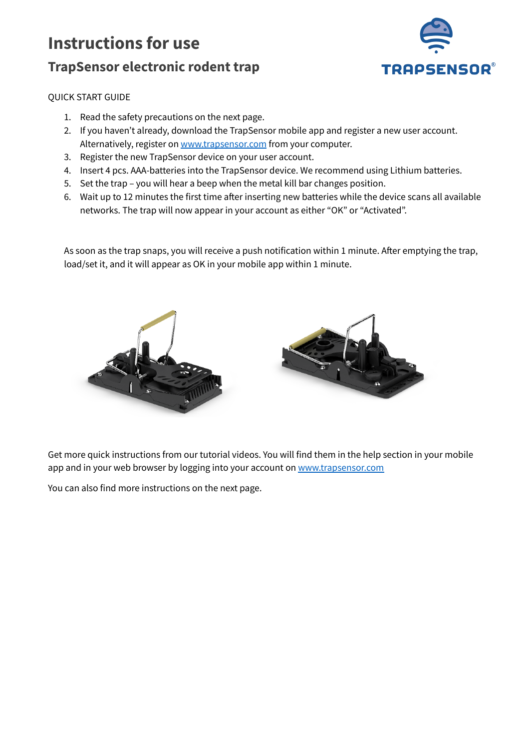# **Instructions for use TrapSensor electronic rodent trap**



## QUICK START GUIDE

- 1. Read the safety precautions on the next page.
- 2. If you haven't already, download the TrapSensor mobile app and register a new user account. Alternatively, register on [www.trapsensor.com](http://www.trapsensor.com) from your computer.
- 3. Register the new TrapSensor device on your user account.
- 4. Insert 4 pcs. AAA-batteries into the TrapSensor device. We recommend using Lithium batteries.
- 5. Set the trap you will hear a beep when the metal kill bar changes position.
- 6. Wait up to 12 minutes the first time after inserting new batteries while the device scans all available networks. The trap will now appear in your account as either "OK" or "Activated".

As soon as the trap snaps, you will receive a push notification within 1 minute. After emptying the trap, load/set it, and it will appear as OK in your mobile app within 1 minute.



Get more quick instructions from our tutorial videos. You will find them in the help section in your mobile app and in your web browser by logging into your account on [www.trapsensor.com](http://www.trapsensor.com)

You can also find more instructions on the next page.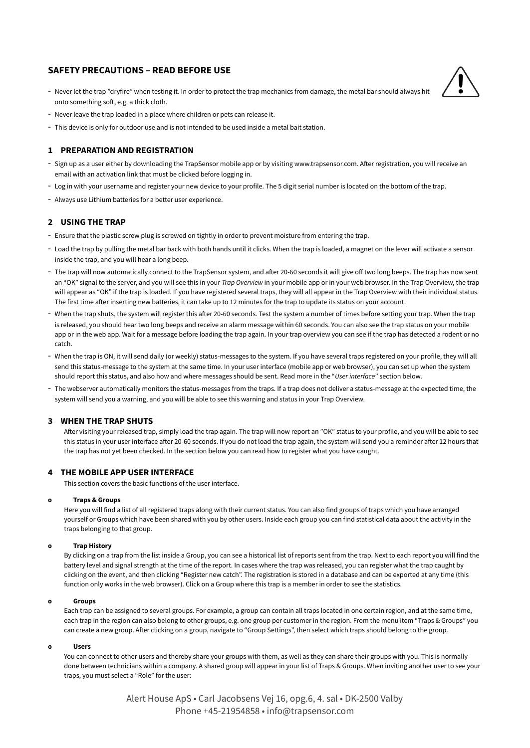## **SAFETY PRECAUTIONS – READ BEFORE USE**

- Never let the trap "dryfire" when testing it. In order to protect the trap mechanics from damage, the metal bar should always hit onto something soft, e.g. a thick cloth.



- Never leave the trap loaded in a place where children or pets can release it.
- This device is only for outdoor use and is not intended to be used inside a metal bait station.

## **1 PREPARATION AND REGISTRATION**

- Sign up as a user either by downloading the TrapSensor mobile app or by visiting www.trapsensor.com. After registration, you will receive an email with an activation link that must be clicked before logging in.
- Log in with your username and register your new device to your profile. The 5 digit serial number is located on the bottom of the trap.
- Always use Lithium batteries for a better user experience.

## **2 USING THE TRAP**

- Ensure that the plastic screw plug is screwed on tightly in order to prevent moisture from entering the trap.
- Load the trap by pulling the metal bar back with both hands until it clicks. When the trap is loaded, a magnet on the lever will activate a sensor inside the trap, and you will hear a long beep.
- The trap will now automatically connect to the TrapSensor system, and after 20-60 seconds it will give off two long beeps. The trap has now sent an "OK" signal to the server, and you will see this in your *Trap Overview* in your mobile app or in your web browser. In the Trap Overview, the trap will appear as "OK" if the trap is loaded. If you have registered several traps, they will all appear in the Trap Overview with their individual status. The first time after inserting new batteries, it can take up to 12 minutes for the trap to update its status on your account.
- When the trap shuts, the system will register this after 20-60 seconds. Test the system a number of times before setting your trap. When the trap is released, you should hear two long beeps and receive an alarm message within 60 seconds. You can also see the trap status on your mobile app or in the web app. Wait for a message before loading the trap again. In your trap overview you can see if the trap has detected a rodent or no catch.
- When the trap is ON, it will send daily (or weekly) status-messages to the system. If you have several traps registered on your profile, they will all send this status-message to the system at the same time. In your user interface (mobile app or web browser), you can set up when the system should report this status, and also how and where messages should be sent. Read more in the "*User interface*" section below.
- The webserver automatically monitors the status-messages from the traps. If a trap does not deliver a status-message at the expected time, the system will send you a warning, and you will be able to see this warning and status in your Trap Overview.

## **3 WHEN THE TRAP SHUTS**

After visiting your released trap, simply load the trap again. The trap will now report an "OK" status to your profile, and you will be able to see this status in your user interface after 20-60 seconds. If you do not load the trap again, the system will send you a reminder after 12 hours that the trap has not yet been checked. In the section below you can read how to register what you have caught.

## **4 THE MOBILE APP USER INTERFACE**

This section covers the basic functions of the user interface.

#### **o Traps & Groups**

Here you will find a list of all registered traps along with their current status. You can also find groups of traps which you have arranged yourself or Groups which have been shared with you by other users. Inside each group you can find statistical data about the activity in the traps belonging to that group.

#### **o Trap History**

By clicking on a trap from the list inside a Group, you can see a historical list of reports sent from the trap. Next to each report you will find the battery level and signal strength at the time of the report. In cases where the trap was released, you can register what the trap caught by clicking on the event, and then clicking "Register new catch". The registration is stored in a database and can be exported at any time (this function only works in the web browser). Click on a Group where this trap is a member in order to see the statistics.

#### **o Groups**

Each trap can be assigned to several groups. For example, a group can contain all traps located in one certain region, and at the same time, each trap in the region can also belong to other groups, e.g. one group per customer in the region. From the menu item "Traps & Groups" you can create a new group. After clicking on a group, navigate to "Group Settings", then select which traps should belong to the group.

#### **o Users**

You can connect to other users and thereby share your groups with them, as well as they can share their groups with you. This is normally done between technicians within a company. A shared group will appear in your list of Traps & Groups. When inviting another user to see your traps, you must select a "Role" for the user:

> Alert House ApS • Carl Jacobsens Vej 16, opg.6, 4. sal • DK-2500 Valby Phone +45-21954858 • info@trapsensor.com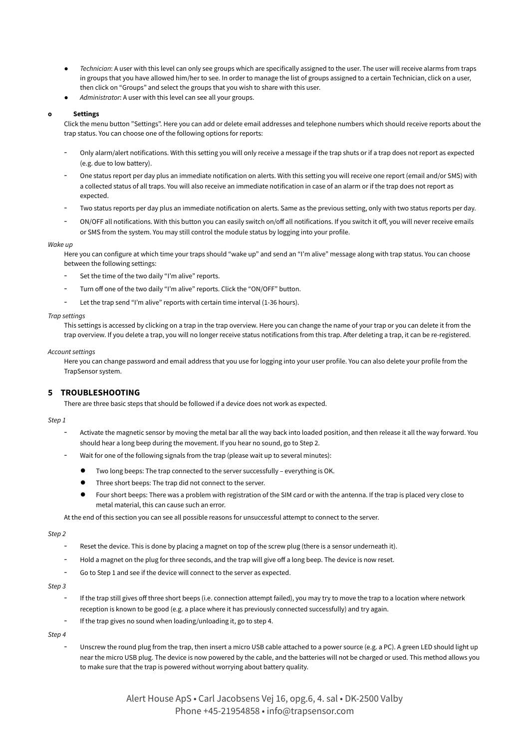- *Technician*: A user with this level can only see groups which are specifically assigned to the user. The user will receive alarms from traps in groups that you have allowed him/her to see. In order to manage the list of groups assigned to a certain Technician, click on a user, then click on "Groups" and select the groups that you wish to share with this user.
- Administrator: A user with this level can see all your groups.

#### **o Settings**

Click the menu button "Settings". Here you can add or delete email addresses and telephone numbers which should receive reports about the trap status. You can choose one of the following options for reports:

- Only alarm/alert notifications. With this setting you will only receive a message if the trap shuts or if a trap does not report as expected (e.g. due to low battery).
- One status report per day plus an immediate notification on alerts. With this setting you will receive one report (email and/or SMS) with a collected status of all traps. You will also receive an immediate notification in case of an alarm or if the trap does not report as expected.
- Two status reports per day plus an immediate notification on alerts. Same as the previous setting, only with two status reports per day.
- ON/OFF all notifications. With this button you can easily switch on/off all notifications. If you switch it off, you will never receive emails or SMS from the system. You may still control the module status by logging into your profile.

#### *Wake up*

Here you can configure at which time your traps should "wake up" and send an "I'm alive" message along with trap status. You can choose between the following settings:

- Set the time of the two daily "I'm alive" reports.
- Turn off one of the two daily "I'm alive" reports. Click the "ON/OFF" button.
- Let the trap send "I'm alive" reports with certain time interval (1-36 hours).

#### *Trap settings*

This settings is accessed by clicking on a trap in the trap overview. Here you can change the name of your trap or you can delete it from the trap overview. If you delete a trap, you will no longer receive status notifications from this trap. After deleting a trap, it can be re-registered.

#### *Account settings*

Here you can change password and email address that you use for logging into your user profile. You can also delete your profile from the TrapSensor system.

## **5 TROUBLESHOOTING**

There are three basic steps that should be followed if a device does not work as expected.

#### *Step 1*

- Activate the magnetic sensor by moving the metal bar all the way back into loaded position, and then release it all the way forward. You should hear a long beep during the movement. If you hear no sound, go to Step 2.
- Wait for one of the following signals from the trap (please wait up to several minutes):
	- Two long beeps: The trap connected to the server successfully everything is OK.
	- Three short beeps: The trap did not connect to the server.
	- Four short beeps: There was a problem with registration of the SIM card or with the antenna. If the trap is placed very close to metal material, this can cause such an error.

At the end of this section you can see all possible reasons for unsuccessful attempt to connect to the server.

#### *Step 2*

- Reset the device. This is done by placing a magnet on top of the screw plug (there is a sensor underneath it).
- Hold a magnet on the plug for three seconds, and the trap will give off a long beep. The device is now reset.
- Go to Step 1 and see if the device will connect to the server as expected.

## *Step 3*

- If the trap still gives off three short beeps (i.e. connection attempt failed), you may try to move the trap to a location where network reception is known to be good (e.g. a place where it has previously connected successfully) and try again.
- If the trap gives no sound when loading/unloading it, go to step 4.

#### *Step 4*

Unscrew the round plug from the trap, then insert a micro USB cable attached to a power source (e.g. a PC). A green LED should light up near the micro USB plug. The device is now powered by the cable, and the batteries will not be charged or used. This method allows you to make sure that the trap is powered without worrying about battery quality.

> Alert House ApS • Carl Jacobsens Vej 16, opg.6, 4. sal • DK-2500 Valby Phone +45-21954858 • info@trapsensor.com